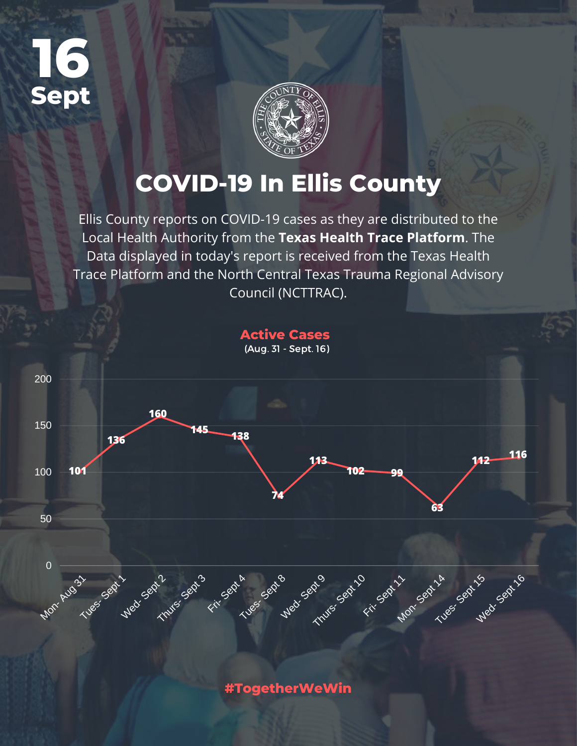



# **COVID-19 In Ellis County**

Ellis County reports on COVID-19 cases as they are distributed to the Local Health Authority from the **Texas Health Trace Platform**. The Data displayed in today's report is received from the Texas Health Trace Platform and the North Central Texas Trauma Regional Advisory Council (NCTTRAC).



**#TogetherWeWin**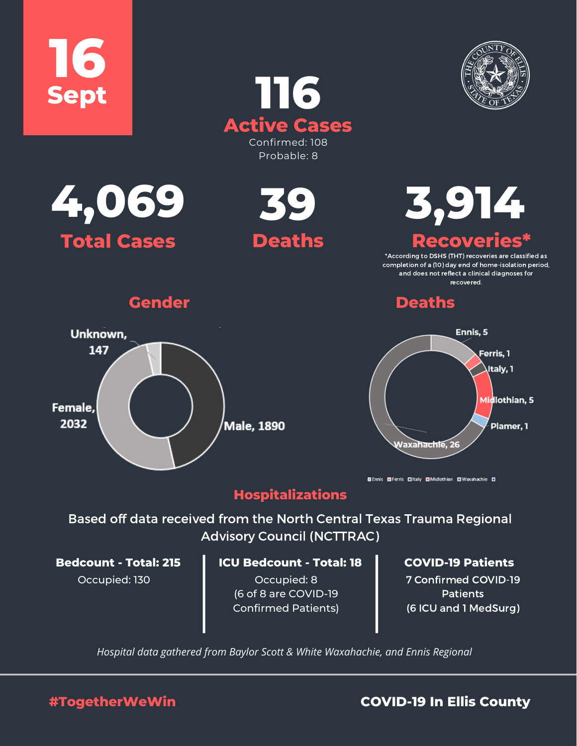





Unknown, 147

Female. 2032





**Recoveries are classified as**<br>'According to DSHS (THT) recoveries are classified as

completion of a (10) day end of home-isolation period, and does not reflect a clinical diagnoses for recovered.

# **Gender Deaths**



**■Ennis ■Ferris ■Italy ■Midlothian ■Waxahachie ■** 

## **Hospitalizations**

Male, 1890

Based off data received from the North Central Texas Trauma Regional Advisory Council (NCTTRAC)

Occupied: 130

### **ICU Bedcount - Total: 18 Bedcount - Total: 215 COVID-19 Patients**

Occupied: 8 (6 of 8 are COVID-19 Confirmed Patients)

7 Confirmed COVID-19 **Patients** (6 ICU and 1 MedSurg)

*Hospital data gathered from Baylor Scott & White Waxahachie, and Ennis Regional*

**#TogetherWeWin COVID-19 In Ellis County**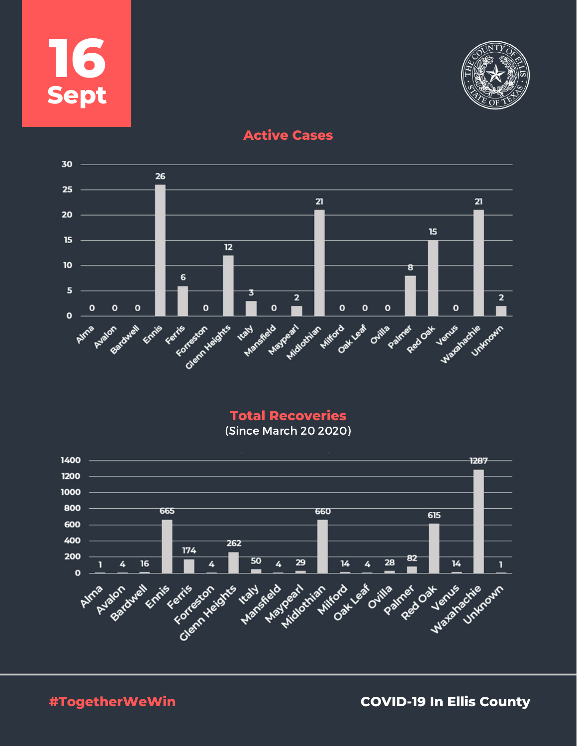



**Active Cases**



**Total Recoveries**

(Since March 20 2020)



**#TogetherWeWin COVID-19 In Ellis County**